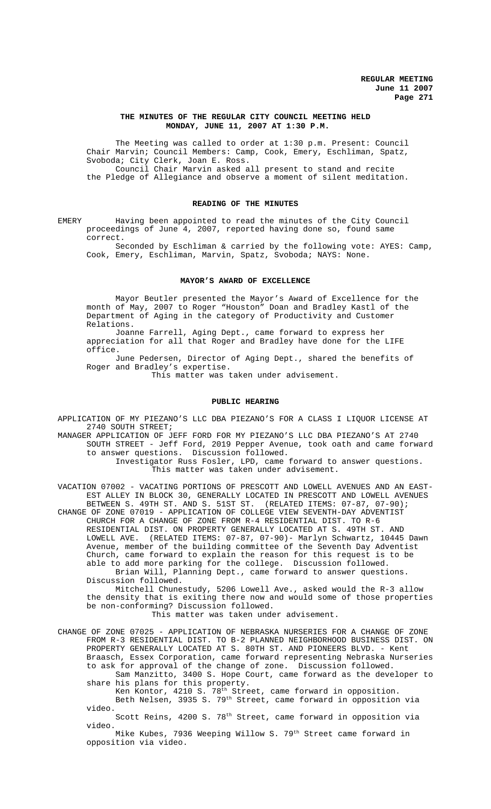## **THE MINUTES OF THE REGULAR CITY COUNCIL MEETING HELD MONDAY, JUNE 11, 2007 AT 1:30 P.M.**

The Meeting was called to order at 1:30 p.m. Present: Council Chair Marvin; Council Members: Camp, Cook, Emery, Eschliman, Spatz, Svoboda; City Clerk, Joan E. Ross. Council Chair Marvin asked all present to stand and recite the Pledge of Allegiance and observe a moment of silent meditation.

## **READING OF THE MINUTES**

EMERY Having been appointed to read the minutes of the City Council proceedings of June 4, 2007, reported having done so, found same correct.

Seconded by Eschliman & carried by the following vote: AYES: Camp, Cook, Emery, Eschliman, Marvin, Spatz, Svoboda; NAYS: None.

#### **MAYOR'S AWARD OF EXCELLENCE**

Mayor Beutler presented the Mayor's Award of Excellence for the month of May, 2007 to Roger "Houston" Doan and Bradley Kastl of the Department of Aging in the category of Productivity and Customer Relations.

Joanne Farrell, Aging Dept., came forward to express her appreciation for all that Roger and Bradley have done for the LIFE office.

June Pedersen, Director of Aging Dept., shared the benefits of Roger and Bradley's expertise.

This matter was taken under advisement.

# **PUBLIC HEARING**

APPLICATION OF MY PIEZANO'S LLC DBA PIEZANO'S FOR A CLASS I LIQUOR LICENSE AT 2740 SOUTH STREET;

MANAGER APPLICATION OF JEFF FORD FOR MY PIEZANO'S LLC DBA PIEZANO'S AT 2740 SOUTH STREET - Jeff Ford, 2019 Pepper Avenue, took oath and came forward to answer questions. Discussion followed.

> Investigator Russ Fosler, LPD, came forward to answer questions. This matter was taken under advisement.

VACATION 07002 - VACATING PORTIONS OF PRESCOTT AND LOWELL AVENUES AND AN EAST-EST ALLEY IN BLOCK 30, GENERALLY LOCATED IN PRESCOTT AND LOWELL AVENUES BETWEEN S. 49TH ST. AND S. 51ST ST. (RELATED ITEMS: 07-87, 07-90);

CHANGE OF ZONE 07019 - APPLICATION OF COLLEGE VIEW SEVENTH-DAY ADVENTIST CHURCH FOR A CHANGE OF ZONE FROM R-4 RESIDENTIAL DIST. TO R-6 RESIDENTIAL DIST. ON PROPERTY GENERALLY LOCATED AT S. 49TH ST. AND LOWELL AVE. (RELATED ITEMS: 07-87, 07-90)- Marlyn Schwartz, 10445 Dawn Avenue, member of the building committee of the Seventh Day Adventist Church, came forward to explain the reason for this request is to be able to add more parking for the college. Discussion followed. Brian Will, Planning Dept., came forward to answer questions. Discussion followed.

Mitchell Chunestudy, 5206 Lowell Ave., asked would the R-3 allow the density that is exiting there now and would some of those properties be non-conforming? Discussion followed.

This matter was taken under advisement.

CHANGE OF ZONE 07025 - APPLICATION OF NEBRASKA NURSERIES FOR A CHANGE OF ZONE FROM R-3 RESIDENTIAL DIST. TO B-2 PLANNED NEIGHBORHOOD BUSINESS DIST. ON PROPERTY GENERALLY LOCATED AT S. 80TH ST. AND PIONEERS BLVD. - Kent Braasch, Essex Corporation, came forward representing Nebraska Nurseries to ask for approval of the change of zone. Discussion followed.

Sam Manzitto, 3400 S. Hope Court, came forward as the developer to share his plans for this property.

Ken Kontor, 4210 S. 78<sup>th</sup> Street, came forward in opposition. Beth Nelsen, 3935 S. 79th Street, came forward in opposition via video.

Scott Reins, 4200 S. 78<sup>th</sup> Street, came forward in opposition via video.

Mike Kubes, 7936 Weeping Willow S. 79<sup>th</sup> Street came forward in opposition via video.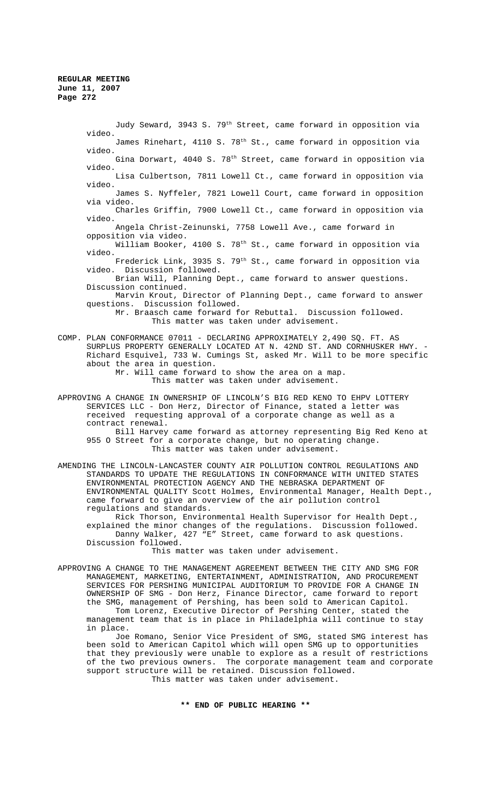Judy Seward, 3943 S. 79<sup>th</sup> Street, came forward in opposition via video. James Rinehart, 4110 S. 78<sup>th</sup> St., came forward in opposition via video. Gina Dorwart, 4040 S. 78<sup>th</sup> Street, came forward in opposition via video. Lisa Culbertson, 7811 Lowell Ct., came forward in opposition via video. James S. Nyffeler, 7821 Lowell Court, came forward in opposition via video. Charles Griffin, 7900 Lowell Ct., came forward in opposition via video. Angela Christ-Zeinunski, 7758 Lowell Ave., came forward in opposition via video. William Booker, 4100 S. 78<sup>th</sup> St., came forward in opposition via video. Frederick Link, 3935 S. 79<sup>th</sup> St., came forward in opposition via video. Discussion followed. Brian Will, Planning Dept., came forward to answer questions. Discussion continued. Marvin Krout, Director of Planning Dept., came forward to answer questions. Discussion followed. Mr. Braasch came forward for Rebuttal. Discussion followed. This matter was taken under advisement. COMP. PLAN CONFORMANCE 07011 - DECLARING APPROXIMATELY 2,490 SQ. FT. AS SURPLUS PROPERTY GENERALLY LOCATED AT N. 42ND ST. AND CORNHUSKER HWY. Richard Esquivel, 733 W. Cumings St, asked Mr. Will to be more specific about the area in question. Mr. Will came forward to show the area on a map. This matter was taken under advisement.

APPROVING A CHANGE IN OWNERSHIP OF LINCOLN'S BIG RED KENO TO EHPV LOTTERY SERVICES LLC - Don Herz, Director of Finance, stated a letter was received requesting approval of a corporate change as well as a contract renewal. Bill Harvey came forward as attorney representing Big Red Keno at 955 O Street for a corporate change, but no operating change.

This matter was taken under advisement.

AMENDING THE LINCOLN-LANCASTER COUNTY AIR POLLUTION CONTROL REGULATIONS AND STANDARDS TO UPDATE THE REGULATIONS IN CONFORMANCE WITH UNITED STATES ENVIRONMENTAL PROTECTION AGENCY AND THE NEBRASKA DEPARTMENT OF ENVIRONMENTAL QUALITY Scott Holmes, Environmental Manager, Health Dept., came forward to give an overview of the air pollution control regulations and standards.

Rick Thorson, Environmental Health Supervisor for Health Dept., explained the minor changes of the regulations. Discussion followed. Danny Walker, 427 "E" Street, came forward to ask questions. Discussion followed.

This matter was taken under advisement.

APPROVING A CHANGE TO THE MANAGEMENT AGREEMENT BETWEEN THE CITY AND SMG FOR MANAGEMENT, MARKETING, ENTERTAINMENT, ADMINISTRATION, AND PROCUREMENT SERVICES FOR PERSHING MUNICIPAL AUDITORIUM TO PROVIDE FOR A CHANGE IN OWNERSHIP OF SMG - Don Herz, Finance Director, came forward to report the SMG, management of Pershing, has been sold to American Capitol. Tom Lorenz, Executive Director of Pershing Center, stated the management team that is in place in Philadelphia will continue to stay in place.

Joe Romano, Senior Vice President of SMG, stated SMG interest has been sold to American Capitol which will open SMG up to opportunities that they previously were unable to explore as a result of restrictions of the two previous owners. The corporate management team and corporate support structure will be retained. Discussion followed. This matter was taken under advisement.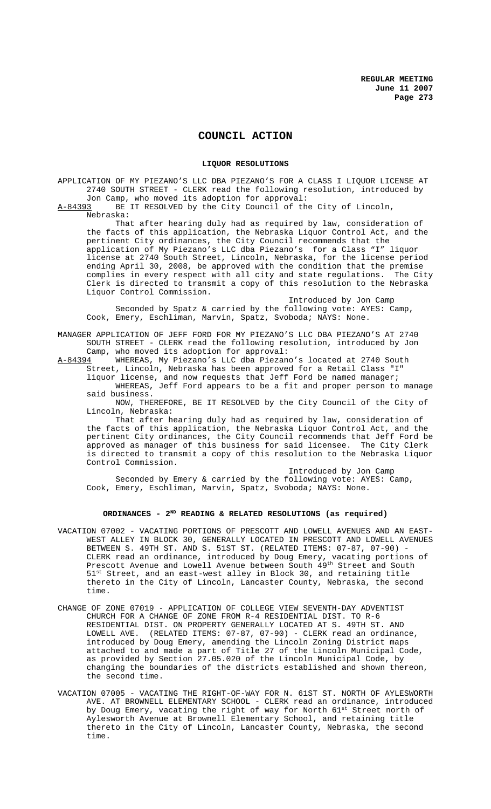# **COUNCIL ACTION**

### **LIQUOR RESOLUTIONS**

APPLICATION OF MY PIEZANO'S LLC DBA PIEZANO'S FOR A CLASS I LIQUOR LICENSE AT 2740 SOUTH STREET - CLERK read the following resolution, introduced by Jon Camp, who moved its adoption for approval:<br>A-84393 BE IT RESOLVED by the City Council of the

BE IT RESOLVED by the City Council of the City of Lincoln,

Nebraska:

That after hearing duly had as required by law, consideration of the facts of this application, the Nebraska Liquor Control Act, and the pertinent City ordinances, the City Council recommends that the application of My Piezano's LLC dba Piezano's for a Class "I" liquor license at 2740 South Street, Lincoln, Nebraska, for the license period ending April 30, 2008, be approved with the condition that the premise<br>complies in every respect with all city and state regulations. The City complies in every respect with all city and state regulations. The City Clerk is directed to transmit a copy of this resolution to the Nebraska Liquor Control Commission.

Introduced by Jon Camp Seconded by Spatz & carried by the following vote: AYES: Camp, Cook, Emery, Eschliman, Marvin, Spatz, Svoboda; NAYS: None.

MANAGER APPLICATION OF JEFF FORD FOR MY PIEZANO'S LLC DBA PIEZANO'S AT 2740 SOUTH STREET - CLERK read the following resolution, introduced by Jon Camp, who moved its adoption for approval:<br> $A-84394$  WHEREAS, My Piezano's LLC dba Piezano

WHEREAS, My Piezano's LLC dba Piezano's located at 2740 South Street, Lincoln, Nebraska has been approved for a Retail Class "I" liquor license, and now requests that Jeff Ford be named manager;

WHEREAS, Jeff Ford appears to be a fit and proper person to manage said business.

NOW, THEREFORE, BE IT RESOLVED by the City Council of the City of Lincoln, Nebraska:

That after hearing duly had as required by law, consideration of the facts of this application, the Nebraska Liquor Control Act, and the pertinent City ordinances, the City Council recommends that Jeff Ford be approved as manager of this business for said licensee. The City Clerk is directed to transmit a copy of this resolution to the Nebraska Liquor Control Commission.

Introduced by Jon Camp Seconded by Emery & carried by the following vote: AYES: Camp, Cook, Emery, Eschliman, Marvin, Spatz, Svoboda; NAYS: None.

# **ORDINANCES - 2ND READING & RELATED RESOLUTIONS (as required)**

- VACATION 07002 VACATING PORTIONS OF PRESCOTT AND LOWELL AVENUES AND AN EAST-WEST ALLEY IN BLOCK 30, GENERALLY LOCATED IN PRESCOTT AND LOWELL AVENUES BETWEEN S. 49TH ST. AND S. 51ST ST. (RELATED ITEMS: 07-87, 07-90) - CLERK read an ordinance, introduced by Doug Emery, vacating portions of Prescott Avenue and Lowell Avenue between South 49th Street and South  $51<sup>st</sup>$  Street, and an east-west alley in Block 30, and retaining title thereto in the City of Lincoln, Lancaster County, Nebraska, the second time.
- CHANGE OF ZONE 07019 APPLICATION OF COLLEGE VIEW SEVENTH-DAY ADVENTIST CHURCH FOR A CHANGE OF ZONE FROM R-4 RESIDENTIAL DIST. TO R-6 RESIDENTIAL DIST. ON PROPERTY GENERALLY LOCATED AT S. 49TH ST. AND LOWELL AVE. (RELATED ITEMS: 07-87, 07-90) - CLERK read an ordinance, introduced by Doug Emery, amending the Lincoln Zoning District maps attached to and made a part of Title 27 of the Lincoln Municipal Code, as provided by Section 27.05.020 of the Lincoln Municipal Code, by changing the boundaries of the districts established and shown thereon, the second time.
- VACATION 07005 VACATING THE RIGHT-OF-WAY FOR N. 61ST ST. NORTH OF AYLESWORTH AVE. AT BROWNELL ELEMENTARY SCHOOL - CLERK read an ordinance, introduced by Doug Emery, vacating the right of way for North 61<sup>st</sup> Street north of Aylesworth Avenue at Brownell Elementary School, and retaining title thereto in the City of Lincoln, Lancaster County, Nebraska, the second time.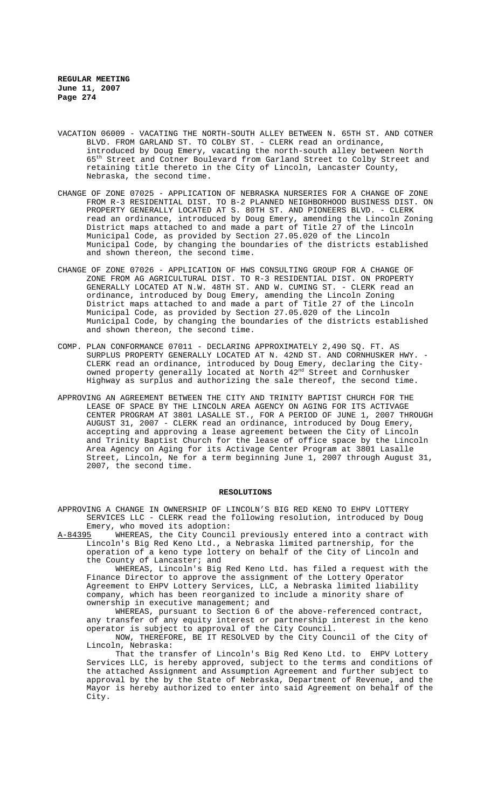- VACATION 06009 VACATING THE NORTH-SOUTH ALLEY BETWEEN N. 65TH ST. AND COTNER BLVD. FROM GARLAND ST. TO COLBY ST. - CLERK read an ordinance, introduced by Doug Emery, vacating the north-south alley between North 65th Street and Cotner Boulevard from Garland Street to Colby Street and retaining title thereto in the City of Lincoln, Lancaster County, Nebraska, the second time.
- CHANGE OF ZONE 07025 APPLICATION OF NEBRASKA NURSERIES FOR A CHANGE OF ZONE FROM R-3 RESIDENTIAL DIST. TO B-2 PLANNED NEIGHBORHOOD BUSINESS DIST. ON PROPERTY GENERALLY LOCATED AT S. 80TH ST. AND PIONEERS BLVD. - CLERK read an ordinance, introduced by Doug Emery, amending the Lincoln Zoning District maps attached to and made a part of Title 27 of the Lincoln Municipal Code, as provided by Section 27.05.020 of the Lincoln Municipal Code, by changing the boundaries of the districts established and shown thereon, the second time.
- CHANGE OF ZONE 07026 APPLICATION OF HWS CONSULTING GROUP FOR A CHANGE OF ZONE FROM AG AGRICULTURAL DIST. TO R-3 RESIDENTIAL DIST. ON PROPERTY GENERALLY LOCATED AT N.W. 48TH ST. AND W. CUMING ST. - CLERK read an ordinance, introduced by Doug Emery, amending the Lincoln Zoning District maps attached to and made a part of Title 27 of the Lincoln Municipal Code, as provided by Section 27.05.020 of the Lincoln Municipal Code, by changing the boundaries of the districts established and shown thereon, the second time.
- COMP. PLAN CONFORMANCE 07011 DECLARING APPROXIMATELY 2,490 SQ. FT. AS SURPLUS PROPERTY GENERALLY LOCATED AT N. 42ND ST. AND CORNHUSKER HWY. - CLERK read an ordinance, introduced by Doug Emery, declaring the Cityowned property generally located at North  $42^{\mathrm{nd}}$  Street and Cornhusker Highway as surplus and authorizing the sale thereof, the second time.
- APPROVING AN AGREEMENT BETWEEN THE CITY AND TRINITY BAPTIST CHURCH FOR THE LEASE OF SPACE BY THE LINCOLN AREA AGENCY ON AGING FOR ITS ACTIVAGE CENTER PROGRAM AT 3801 LASALLE ST., FOR A PERIOD OF JUNE 1, 2007 THROUGH AUGUST 31, 2007 - CLERK read an ordinance, introduced by Doug Emery, accepting and approving a lease agreement between the City of Lincoln and Trinity Baptist Church for the lease of office space by the Lincoln Area Agency on Aging for its Activage Center Program at 3801 Lasalle Street, Lincoln, Ne for a term beginning June 1, 2007 through August 31, 2007, the second time.

#### **RESOLUTIONS**

APPROVING A CHANGE IN OWNERSHIP OF LINCOLN'S BIG RED KENO TO EHPV LOTTERY SERVICES LLC - CLERK read the following resolution, introduced by Doug Emery, who moved its adoption:<br>A-84395 WHEREAS, the City Counci

WHEREAS, the City Council previously entered into a contract with Lincoln's Big Red Keno Ltd., a Nebraska limited partnership, for the operation of a keno type lottery on behalf of the City of Lincoln and the County of Lancaster; and

WHEREAS, Lincoln's Big Red Keno Ltd. has filed a request with the Finance Director to approve the assignment of the Lottery Operator Agreement to EHPV Lottery Services, LLC, a Nebraska limited liability company, which has been reorganized to include a minority share of ownership in executive management; and

WHEREAS, pursuant to Section 6 of the above-referenced contract, any transfer of any equity interest or partnership interest in the keno operator is subject to approval of the City Council.

NOW, THEREFORE, BE IT RESOLVED by the City Council of the City of Lincoln, Nebraska:

That the transfer of Lincoln's Big Red Keno Ltd. to EHPV Lottery Services LLC, is hereby approved, subject to the terms and conditions of the attached Assignment and Assumption Agreement and further subject to approval by the by the State of Nebraska, Department of Revenue, and the Mayor is hereby authorized to enter into said Agreement on behalf of the City.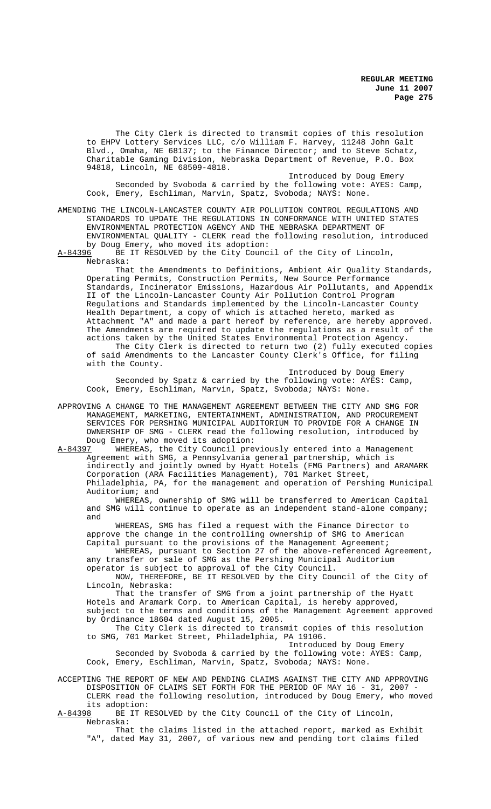The City Clerk is directed to transmit copies of this resolution to EHPV Lottery Services LLC, c/o William F. Harvey, 11248 John Galt Blvd., Omaha, NE 68137; to the Finance Director; and to Steve Schatz, Charitable Gaming Division, Nebraska Department of Revenue, P.O. Box 94818, Lincoln, NE 68509-4818.

Introduced by Doug Emery Seconded by Svoboda & carried by the following vote: AYES: Camp, Cook, Emery, Eschliman, Marvin, Spatz, Svoboda; NAYS: None.

AMENDING THE LINCOLN-LANCASTER COUNTY AIR POLLUTION CONTROL REGULATIONS AND STANDARDS TO UPDATE THE REGULATIONS IN CONFORMANCE WITH UNITED STATES ENVIRONMENTAL PROTECTION AGENCY AND THE NEBRASKA DEPARTMENT OF ENVIRONMENTAL QUALITY - CLERK read the following resolution, introduced by Doug Emery, who moved its adoption:

A-84396 BE IT RESOLVED by the City Council of the City of Lincoln, Nebraska:

That the Amendments to Definitions, Ambient Air Quality Standards, Operating Permits, Construction Permits, New Source Performance Standards, Incinerator Emissions, Hazardous Air Pollutants, and Appendix II of the Lincoln-Lancaster County Air Pollution Control Program Regulations and Standards implemented by the Lincoln-Lancaster County Health Department, a copy of which is attached hereto, marked as Attachment "A" and made a part hereof by reference, are hereby approved. The Amendments are required to update the regulations as a result of the actions taken by the United States Environmental Protection Agency. The City Clerk is directed to return two (2) fully executed copies of said Amendments to the Lancaster County Clerk's Office, for filing with the County.

Introduced by Doug Emery Seconded by Spatz & carried by the following vote: AYES: Camp, Cook, Emery, Eschliman, Marvin, Spatz, Svoboda; NAYS: None.

APPROVING A CHANGE TO THE MANAGEMENT AGREEMENT BETWEEN THE CITY AND SMG FOR MANAGEMENT, MARKETING, ENTERTAINMENT, ADMINISTRATION, AND PROCUREMENT SERVICES FOR PERSHING MUNICIPAL AUDITORIUM TO PROVIDE FOR A CHANGE IN OWNERSHIP OF SMG - CLERK read the following resolution, introduced by Doug Emery, who moved its adoption:<br>A-84397 WHEREAS, the City Council pre

WHEREAS, the City Council previously entered into a Management Agreement with SMG, a Pennsylvania general partnership, which is indirectly and jointly owned by Hyatt Hotels (FMG Partners) and ARAMARK Corporation (ARA Facilities Management), 701 Market Street, Philadelphia, PA, for the management and operation of Pershing Municipal Auditorium; and

WHEREAS, ownership of SMG will be transferred to American Capital and SMG will continue to operate as an independent stand-alone company; and

WHEREAS, SMG has filed a request with the Finance Director to approve the change in the controlling ownership of SMG to American Capital pursuant to the provisions of the Management Agreement;

WHEREAS, pursuant to Section 27 of the above-referenced Agreement, any transfer or sale of SMG as the Pershing Municipal Auditorium operator is subject to approval of the City Council.

NOW, THEREFORE, BE IT RESOLVED by the City Council of the City of Lincoln, Nebraska:

That the transfer of SMG from a joint partnership of the Hyatt Hotels and Aramark Corp. to American Capital, is hereby approved, subject to the terms and conditions of the Management Agreement approved by Ordinance 18604 dated August 15, 2005.

The City Clerk is directed to transmit copies of this resolution to SMG, 701 Market Street, Philadelphia, PA 19106.

Introduced by Doug Emery Seconded by Svoboda & carried by the following vote: AYES: Camp, Cook, Emery, Eschliman, Marvin, Spatz, Svoboda; NAYS: None.

ACCEPTING THE REPORT OF NEW AND PENDING CLAIMS AGAINST THE CITY AND APPROVING DISPOSITION OF CLAIMS SET FORTH FOR THE PERIOD OF MAY 16 - 31, 2007 - CLERK read the following resolution, introduced by Doug Emery, who moved its adoption:

A-84398 BE IT RESOLVED by the City Council of the City of Lincoln, Nebraska:

That the claims listed in the attached report, marked as Exhibit "A", dated May 31, 2007, of various new and pending tort claims filed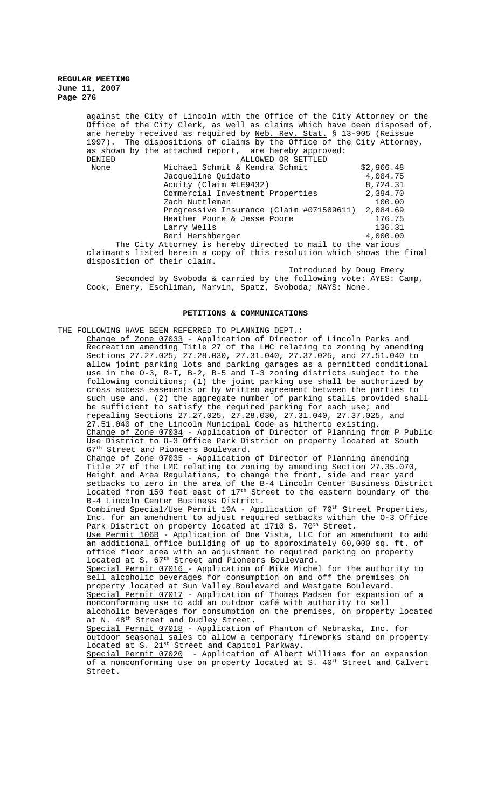> against the City of Lincoln with the Office of the City Attorney or the Office of the City Clerk, as well as claims which have been disposed of, are hereby received as required by Neb. Rev. Stat. § 13-905 (Reissue 1997). The dispositions of claims by the Office of the City Attorney, as shown by the attached report, are hereby approved:<br>DENIED ALLOWED OR SETTLED ALLOWED OR SETTLED None Michael Schmit & Kendra Schmit  $\frac{2}{3}$ ,966.48<br>Jacqueline Ouidato 4.084.75 Jacqueline Ouidato Acuity (Claim #LE9432) 8,724.31<br>Commercial Investment Properties 2.394.70 Commercial Investment Properties Zach Nuttleman 100.00 Progressive Insurance (Claim #071509611) 2,084.69<br>Heather Poore & Jesse Poore 176.75 Heather Poore & Jesse Poore Larry Wells 136.31 Beri Hershberger 4,000.00

> The City Attorney is hereby directed to mail to the various claimants listed herein a copy of this resolution which shows the final disposition of their claim.

Introduced by Doug Emery Seconded by Svoboda & carried by the following vote: AYES: Camp, Cook, Emery, Eschliman, Marvin, Spatz, Svoboda; NAYS: None.

#### **PETITIONS & COMMUNICATIONS**

THE FOLLOWING HAVE BEEN REFERRED TO PLANNING DEPT.: Change of Zone 07033 - Application of Director of Lincoln Parks and Recreation amending Title 27 of the LMC relating to zoning by amending Sections 27.27.025, 27.28.030, 27.31.040, 27.37.025, and 27.51.040 to allow joint parking lots and parking garages as a permitted conditional use in the O-3, R-T, B-2, B-5 and I-3 zoning districts subject to the following conditions; (1) the joint parking use shall be authorized by cross access easements or by written agreement between the parties to such use and, (2) the aggregate number of parking stalls provided shall be sufficient to satisfy the required parking for each use; and repealing Sections 27.27.025, 27.28.030, 27.31.040, 27.37.025, and 27.51.040 of the Lincoln Municipal Code as hitherto existing. Change of Zone 07034 - Application of Director of Planning from P Public Use District to O-3 Office Park District on property located at South 67<sup>th</sup> Street and Pioneers Boulevard. Change of Zone 07035 - Application of Director of Planning amending Title 27 of the LMC relating to zoning by amending Section 27.35.070, Height and Area Regulations, to change the front, side and rear yard setbacks to zero in the area of the B-4 Lincoln Center Business District located from 150 feet east of 17<sup>th</sup> Street to the eastern boundary of the B-4 Lincoln Center Business District. Combined Special/Use Permit  $19A -$  Application of  $70<sup>th</sup>$  Street Properties, Inc. for an amendment to adjust required setbacks within the O-3 Office Park District on property located at 1710 S. 70<sup>th</sup> Street. Use Permit 106B - Application of One Vista, LLC for an amendment to add an additional office building of up to approximately 60,000 sq. ft. of office floor area with an adjustment to required parking on property located at S. 67<sup>th</sup> Street and Pioneers Boulevard. Special Permit 07016 - Application of Mike Michel for the authority to sell alcoholic beverages for consumption on and off the premises on property located at Sun Valley Boulevard and Westgate Boulevard. Special Permit 07017 - Application of Thomas Madsen for expansion of a nonconforming use to add an outdoor café with authority to sell alcoholic beverages for consumption on the premises, on property located at N. 48<sup>th</sup> Street and Dudley Street. Special Permit 07018 - Application of Phantom of Nebraska, Inc. for outdoor seasonal sales to allow a temporary fireworks stand on property located at S. 21st Street and Capitol Parkway. Special Permit 07020 - Application of Albert Williams for an expansion of a nonconforming use on property located at S. 40<sup>th</sup> Street and Calvert Street.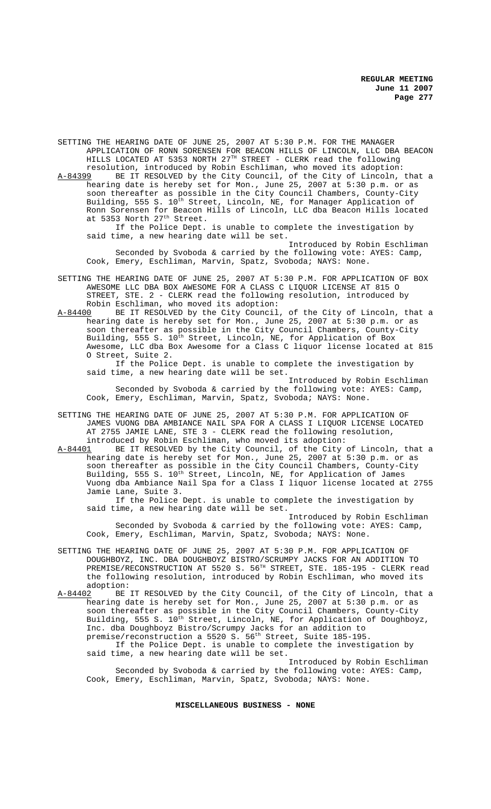SETTING THE HEARING DATE OF JUNE 25, 2007 AT 5:30 P.M. FOR THE MANAGER APPLICATION OF RONN SORENSEN FOR BEACON HILLS OF LINCOLN, LLC DBA BEACON HILLS LOCATED AT 5353 NORTH 27TH STREET - CLERK read the following resolution, introduced by Robin Eschliman, who moved its adoption:

A-84399 BE IT RESOLVED by the City Council, of the City of Lincoln, that a hearing date is hereby set for Mon., June 25, 2007 at 5:30 p.m. or as soon thereafter as possible in the City Council Chambers, County-City Building, 555 S. 10<sup>th</sup> Street, Lincoln, NE, for Manager Application of Ronn Sorensen for Beacon Hills of Lincoln, LLC dba Beacon Hills located at 5353 North 27<sup>th</sup> Street.

If the Police Dept. is unable to complete the investigation by said time, a new hearing date will be set.

Introduced by Robin Eschliman Seconded by Svoboda & carried by the following vote: AYES: Camp, Cook, Emery, Eschliman, Marvin, Spatz, Svoboda; NAYS: None.

SETTING THE HEARING DATE OF JUNE 25, 2007 AT 5:30 P.M. FOR APPLICATION OF BOX AWESOME LLC DBA BOX AWESOME FOR A CLASS C LIQUOR LICENSE AT 815 O STREET, STE. 2 - CLERK read the following resolution, introduced by Robin Eschliman, who moved its adoption:<br>A-84400 BE IT RESOLVED by the City Council

A-84400 BE IT RESOLVED by the City Council, of the City of Lincoln, that a hearing date is hereby set for Mon., June 25, 2007 at 5:30 p.m. or as soon thereafter as possible in the City Council Chambers, County-City Building, 555 S.  $10^{\text{th}}$  Street, Lincoln, NE, for Application of Box Awesome, LLC dba Box Awesome for a Class C liquor license located at 815 O Street, Suite 2.

If the Police Dept. is unable to complete the investigation by said time, a new hearing date will be set.

Introduced by Robin Eschliman Seconded by Svoboda & carried by the following vote: AYES: Camp, Cook, Emery, Eschliman, Marvin, Spatz, Svoboda; NAYS: None.

SETTING THE HEARING DATE OF JUNE 25, 2007 AT 5:30 P.M. FOR APPLICATION OF JAMES VUONG DBA AMBIANCE NAIL SPA FOR A CLASS I LIQUOR LICENSE LOCATED AT 2755 JAMIE LANE, STE 3 - CLERK read the following resolution, introduced by Robin Eschliman, who moved its adoption:

A-84401 BE IT RESOLVED by the City Council, of the City of Lincoln, that a hearing date is hereby set for Mon., June 25, 2007 at 5:30 p.m. or as soon thereafter as possible in the City Council Chambers, County-City Building, 555 S. 10<sup>th</sup> Street, Lincoln, NE, for Application of James Vuong dba Ambiance Nail Spa for a Class I liquor license located at 2755 Jamie Lane, Suite 3.

If the Police Dept. is unable to complete the investigation by said time, a new hearing date will be set.

Introduced by Robin Eschliman Seconded by Svoboda & carried by the following vote: AYES: Camp, Cook, Emery, Eschliman, Marvin, Spatz, Svoboda; NAYS: None.

- SETTING THE HEARING DATE OF JUNE 25, 2007 AT 5:30 P.M. FOR APPLICATION OF DOUGHBOYZ, INC. DBA DOUGHBOYZ BISTRO/SCRUMPY JACKS FOR AN ADDITION TO PREMISE/RECONSTRUCTION AT 5520 S. 56TH STREET, STE. 185-195 - CLERK read the following resolution, introduced by Robin Eschliman, who moved its
- $\frac{\text{adoption:}}{\text{A}-84402}$  BE A-84402 BE IT RESOLVED by the City Council, of the City of Lincoln, that a hearing date is hereby set for Mon., June 25, 2007 at 5:30 p.m. or as soon thereafter as possible in the City Council Chambers, County-City Building, 555 S.  $10^{\text{th}}$  Street, Lincoln, NE, for Application of Doughboyz, Inc. dba Doughboyz Bistro/Scrumpy Jacks for an addition to premise/reconstruction a 5520 S. 56<sup>th</sup> Street, Suite 185-195. If the Police Dept. is unable to complete the investigation by said time, a new hearing date will be set.

Introduced by Robin Eschliman Seconded by Svoboda & carried by the following vote: AYES: Camp, Cook, Emery, Eschliman, Marvin, Spatz, Svoboda; NAYS: None.

**MISCELLANEOUS BUSINESS - NONE**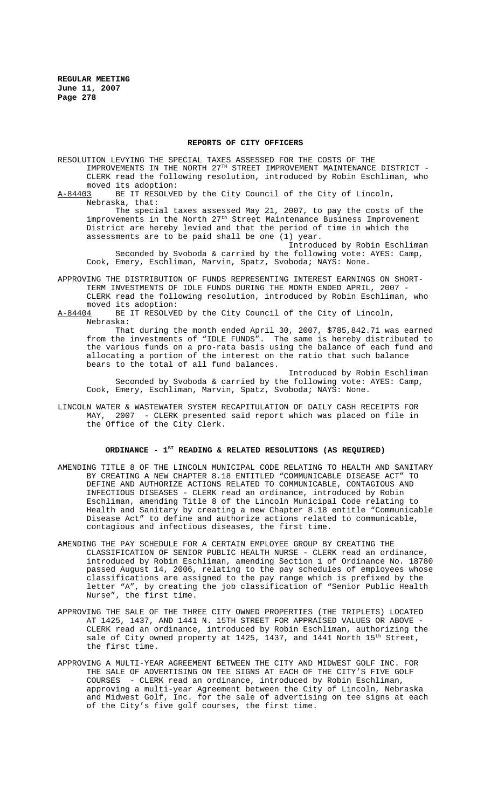### **REPORTS OF CITY OFFICERS**

RESOLUTION LEVYING THE SPECIAL TAXES ASSESSED FOR THE COSTS OF THE IMPROVEMENTS IN THE NORTH 27TH STREET IMPROVEMENT MAINTENANCE DISTRICT - CLERK read the following resolution, introduced by Robin Eschliman, who moved its adoption:<br>A-84403 BE IT RESOLVED

BE IT RESOLVED by the City Council of the City of Lincoln, Nebraska, that:

The special taxes assessed May 21, 2007, to pay the costs of the improvements in the North 27<sup>th</sup> Street Maintenance Business Improvement District are hereby levied and that the period of time in which the assessments are to be paid shall be one (1) year.

Introduced by Robin Eschliman Seconded by Svoboda & carried by the following vote: AYES: Camp, Cook, Emery, Eschliman, Marvin, Spatz, Svoboda; NAYS: None.

APPROVING THE DISTRIBUTION OF FUNDS REPRESENTING INTEREST EARNINGS ON SHORT-TERM INVESTMENTS OF IDLE FUNDS DURING THE MONTH ENDED APRIL, 2007 -CLERK read the following resolution, introduced by Robin Eschliman, who

moved its adoption:<br>A-84404 BE IT RESOLVE BE IT RESOLVED by the City Council of the City of Lincoln, Nebraska:

That during the month ended April 30, 2007, \$785,842.71 was earned from the investments of "IDLE FUNDS". The same is hereby distributed to the various funds on a pro-rata basis using the balance of each fund and allocating a portion of the interest on the ratio that such balance bears to the total of all fund balances.

Introduced by Robin Eschliman Seconded by Svoboda & carried by the following vote: AYES: Camp, Cook, Emery, Eschliman, Marvin, Spatz, Svoboda; NAYS: None.

LINCOLN WATER & WASTEWATER SYSTEM RECAPITULATION OF DAILY CASH RECEIPTS FOR MAY, 2007 - CLERK presented said report which was placed on file in the Office of the City Clerk.

## **ORDINANCE - 1ST READING & RELATED RESOLUTIONS (AS REQUIRED)**

- AMENDING TITLE 8 OF THE LINCOLN MUNICIPAL CODE RELATING TO HEALTH AND SANITARY BY CREATING A NEW CHAPTER 8.18 ENTITLED "COMMUNICABLE DISEASE ACT" TO DEFINE AND AUTHORIZE ACTIONS RELATED TO COMMUNICABLE, CONTAGIOUS AND INFECTIOUS DISEASES - CLERK read an ordinance, introduced by Robin Eschliman, amending Title 8 of the Lincoln Municipal Code relating to Health and Sanitary by creating a new Chapter 8.18 entitle "Communicable Disease Act" to define and authorize actions related to communicable, contagious and infectious diseases, the first time.
- AMENDING THE PAY SCHEDULE FOR A CERTAIN EMPLOYEE GROUP BY CREATING THE CLASSIFICATION OF SENIOR PUBLIC HEALTH NURSE - CLERK read an ordinance, introduced by Robin Eschliman, amending Section 1 of Ordinance No. 18780 passed August 14, 2006, relating to the pay schedules of employees whose classifications are assigned to the pay range which is prefixed by the letter "A", by creating the job classification of "Senior Public Health Nurse", the first time.
- APPROVING THE SALE OF THE THREE CITY OWNED PROPERTIES (THE TRIPLETS) LOCATED AT 1425, 1437, AND 1441 N. 15TH STREET FOR APPRAISED VALUES OR ABOVE - CLERK read an ordinance, introduced by Robin Eschliman, authorizing the sale of City owned property at 1425, 1437, and 1441 North 15<sup>th</sup> Street, the first time.
- APPROVING A MULTI-YEAR AGREEMENT BETWEEN THE CITY AND MIDWEST GOLF INC. FOR THE SALE OF ADVERTISING ON TEE SIGNS AT EACH OF THE CITY'S FIVE GOLF COURSES - CLERK read an ordinance, introduced by Robin Eschliman, approving a multi-year Agreement between the City of Lincoln, Nebraska and Midwest Golf, Inc. for the sale of advertising on tee signs at each of the City's five golf courses, the first time.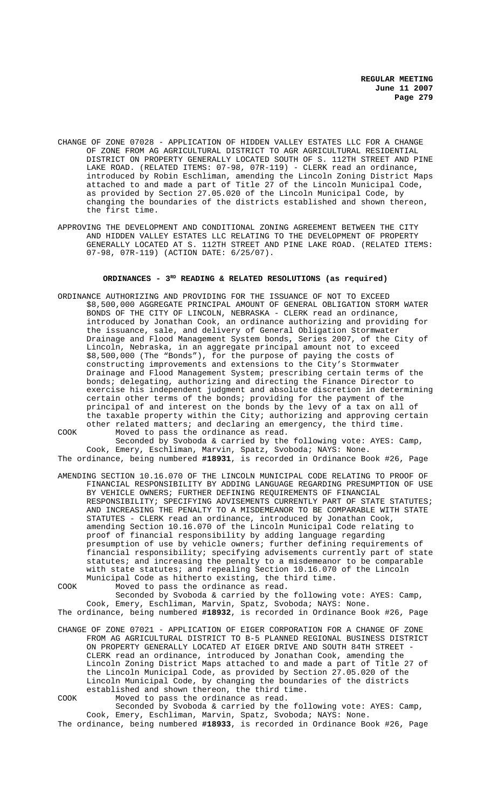- CHANGE OF ZONE 07028 APPLICATION OF HIDDEN VALLEY ESTATES LLC FOR A CHANGE OF ZONE FROM AG AGRICULTURAL DISTRICT TO AGR AGRICULTURAL RESIDENTIAL DISTRICT ON PROPERTY GENERALLY LOCATED SOUTH OF S. 112TH STREET AND PINE LAKE ROAD. (RELATED ITEMS: 07-98, 07R-119) - CLERK read an ordinance, introduced by Robin Eschliman, amending the Lincoln Zoning District Maps attached to and made a part of Title 27 of the Lincoln Municipal Code, as provided by Section 27.05.020 of the Lincoln Municipal Code, by changing the boundaries of the districts established and shown thereon, the first time.
- APPROVING THE DEVELOPMENT AND CONDITIONAL ZONING AGREEMENT BETWEEN THE CITY AND HIDDEN VALLEY ESTATES LLC RELATING TO THE DEVELOPMENT OF PROPERTY GENERALLY LOCATED AT S. 112TH STREET AND PINE LAKE ROAD. (RELATED ITEMS: 07-98, 07R-119) (ACTION DATE: 6/25/07).

# ORDINANCES - 3<sup>RD</sup> READING & RELATED RESOLUTIONS (as required)

- ORDINANCE AUTHORIZING AND PROVIDING FOR THE ISSUANCE OF NOT TO EXCEED \$8,500,000 AGGREGATE PRINCIPAL AMOUNT OF GENERAL OBLIGATION STORM WATER BONDS OF THE CITY OF LINCOLN, NEBRASKA - CLERK read an ordinance, introduced by Jonathan Cook, an ordinance authorizing and providing for the issuance, sale, and delivery of General Obligation Stormwater Drainage and Flood Management System bonds, Series 2007, of the City of Lincoln, Nebraska, in an aggregate principal amount not to exceed \$8,500,000 (The "Bonds"), for the purpose of paying the costs of constructing improvements and extensions to the City's Stormwater Drainage and Flood Management System; prescribing certain terms of the bonds; delegating, authorizing and directing the Finance Director to exercise his independent judgment and absolute discretion in determining certain other terms of the bonds; providing for the payment of the principal of and interest on the bonds by the levy of a tax on all of the taxable property within the City; authorizing and approving certain other related matters; and declaring an emergency, the third time.
- 

COOK Moved to pass the ordinance as read. Seconded by Svoboda & carried by the following vote: AYES: Camp, Cook, Emery, Eschliman, Marvin, Spatz, Svoboda; NAYS: None. The ordinance, being numbered **#18931**, is recorded in Ordinance Book #26, Page

- AMENDING SECTION 10.16.070 OF THE LINCOLN MUNICIPAL CODE RELATING TO PROOF OF FINANCIAL RESPONSIBILITY BY ADDING LANGUAGE REGARDING PRESUMPTION OF USE BY VEHICLE OWNERS; FURTHER DEFINING REQUIREMENTS OF FINANCIAL RESPONSIBILITY; SPECIFYING ADVISEMENTS CURRENTLY PART OF STATE STATUTES; AND INCREASING THE PENALTY TO A MISDEMEANOR TO BE COMPARABLE WITH STATE STATUTES - CLERK read an ordinance, introduced by Jonathan Cook, amending Section 10.16.070 of the Lincoln Municipal Code relating to proof of financial responsibility by adding language regarding presumption of use by vehicle owners; further defining requirements of financial responsibility; specifying advisements currently part of state statutes; and increasing the penalty to a misdemeanor to be comparable with state statutes; and repealing Section 10.16.070 of the Lincoln Municipal Code as hitherto existing, the third time.
- COOK Moved to pass the ordinance as read.

Seconded by Svoboda & carried by the following vote: AYES: Camp, Cook, Emery, Eschliman, Marvin, Spatz, Svoboda; NAYS: None. The ordinance, being numbered **#18932**, is recorded in Ordinance Book #26, Page

- CHANGE OF ZONE 07021 APPLICATION OF EIGER CORPORATION FOR A CHANGE OF ZONE FROM AG AGRICULTURAL DISTRICT TO B-5 PLANNED REGIONAL BUSINESS DISTRICT ON PROPERTY GENERALLY LOCATED AT EIGER DRIVE AND SOUTH 84TH STREET - CLERK read an ordinance, introduced by Jonathan Cook, amending the Lincoln Zoning District Maps attached to and made a part of Title 27 of the Lincoln Municipal Code, as provided by Section 27.05.020 of the Lincoln Municipal Code, by changing the boundaries of the districts established and shown thereon, the third time. COOK Moved to pass the ordinance as read.
	- Seconded by Svoboda & carried by the following vote: AYES: Camp, Cook, Emery, Eschliman, Marvin, Spatz, Svoboda; NAYS: None.

The ordinance, being numbered **#18933**, is recorded in Ordinance Book #26, Page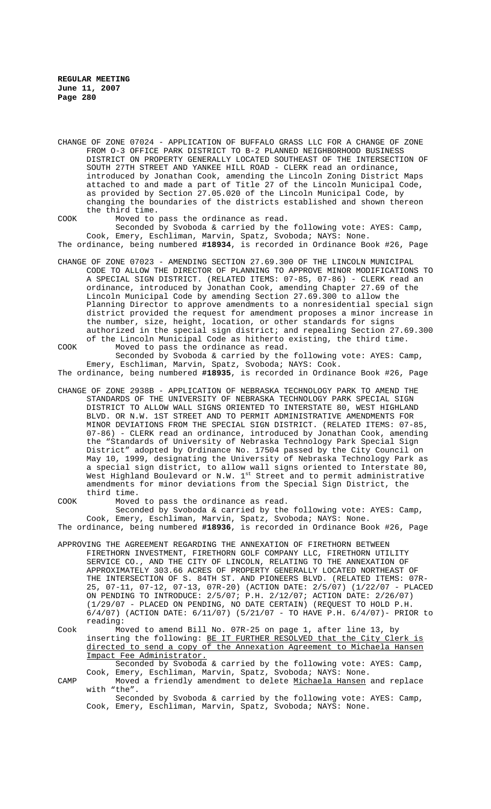CHANGE OF ZONE 07024 - APPLICATION OF BUFFALO GRASS LLC FOR A CHANGE OF ZONE FROM O-3 OFFICE PARK DISTRICT TO B-2 PLANNED NEIGHBORHOOD BUSINESS DISTRICT ON PROPERTY GENERALLY LOCATED SOUTHEAST OF THE INTERSECTION OF SOUTH 27TH STREET AND YANKEE HILL ROAD - CLERK read an ordinance, introduced by Jonathan Cook, amending the Lincoln Zoning District Maps attached to and made a part of Title 27 of the Lincoln Municipal Code, as provided by Section 27.05.020 of the Lincoln Municipal Code, by changing the boundaries of the districts established and shown thereon the third time.

COOK Moved to pass the ordinance as read. Seconded by Svoboda & carried by the following vote: AYES: Camp, Cook, Emery, Eschliman, Marvin, Spatz, Svoboda; NAYS: None.

The ordinance, being numbered **#18934**, is recorded in Ordinance Book #26, Page

CHANGE OF ZONE 07023 - AMENDING SECTION 27.69.300 OF THE LINCOLN MUNICIPAL CODE TO ALLOW THE DIRECTOR OF PLANNING TO APPROVE MINOR MODIFICATIONS TO A SPECIAL SIGN DISTRICT. (RELATED ITEMS: 07-85, 07-86) - CLERK read an ordinance, introduced by Jonathan Cook, amending Chapter 27.69 of the Lincoln Municipal Code by amending Section 27.69.300 to allow the Planning Director to approve amendments to a nonresidential special sign district provided the request for amendment proposes a minor increase in the number, size, height, location, or other standards for signs authorized in the special sign district; and repealing Section 27.69.300 of the Lincoln Municipal Code as hitherto existing, the third time.

COOK Moved to pass the ordinance as read. Seconded by Svoboda & carried by the following vote: AYES: Camp, Emery, Eschliman, Marvin, Spatz, Svoboda; NAYS: Cook.

The ordinance, being numbered **#18935**, is recorded in Ordinance Book #26, Page

CHANGE OF ZONE 2938B - APPLICATION OF NEBRASKA TECHNOLOGY PARK TO AMEND THE STANDARDS OF THE UNIVERSITY OF NEBRASKA TECHNOLOGY PARK SPECIAL SIGN DISTRICT TO ALLOW WALL SIGNS ORIENTED TO INTERSTATE 80, WEST HIGHLAND BLVD. OR N.W. 1ST STREET AND TO PERMIT ADMINISTRATIVE AMENDMENTS FOR MINOR DEVIATIONS FROM THE SPECIAL SIGN DISTRICT. (RELATED ITEMS: 07-85, 07-86) - CLERK read an ordinance, introduced by Jonathan Cook, amending the "Standards of University of Nebraska Technology Park Special Sign District" adopted by Ordinance No. 17504 passed by the City Council on May 10, 1999, designating the University of Nebraska Technology Park as a special sign district, to allow wall signs oriented to Interstate 80, West Highland Boulevard or N.W.  $1^\text{st}$  Street and to permit administrative amendments for minor deviations from the Special Sign District, the third time.

COOK Moved to pass the ordinance as read.

Seconded by Svoboda & carried by the following vote: AYES: Camp, Cook, Emery, Eschliman, Marvin, Spatz, Svoboda; NAYS: None.

The ordinance, being numbered **#18936**, is recorded in Ordinance Book #26, Page

- APPROVING THE AGREEMENT REGARDING THE ANNEXATION OF FIRETHORN BETWEEN FIRETHORN INVESTMENT, FIRETHORN GOLF COMPANY LLC, FIRETHORN UTILITY SERVICE CO., AND THE CITY OF LINCOLN, RELATING TO THE ANNEXATION OF APPROXIMATELY 303.66 ACRES OF PROPERTY GENERALLY LOCATED NORTHEAST OF THE INTERSECTION OF S. 84TH ST. AND PIONEERS BLVD. (RELATED ITEMS: 07R-25, 07-11, 07-12, 07-13, 07R-20) (ACTION DATE: 2/5/07) (1/22/07 - PLACED ON PENDING TO INTRODUCE: 2/5/07; P.H. 2/12/07; ACTION DATE: 2/26/07) (1/29/07 - PLACED ON PENDING, NO DATE CERTAIN) (REQUEST TO HOLD P.H. 6/4/07) (ACTION DATE: 6/11/07) (5/21/07 - TO HAVE P.H. 6/4/07)- PRIOR to reading:
- Cook Moved to amend Bill No. 07R-25 on page 1, after line 13, by inserting the following: BE IT FURTHER RESOLVED that the City Clerk is directed to send a copy of the Annexation Agreement to Michaela Hansen Impact Fee Administrator. Seconded by Svoboda & carried by the following vote: AYES: Camp,

Cook, Emery, Eschliman, Marvin, Spatz, Svoboda; NAYS: None.

CAMP Moved a friendly amendment to delete Michaela Hansen and replace with "the".

Seconded by Svoboda & carried by the following vote: AYES: Camp, Cook, Emery, Eschliman, Marvin, Spatz, Svoboda; NAYS: None.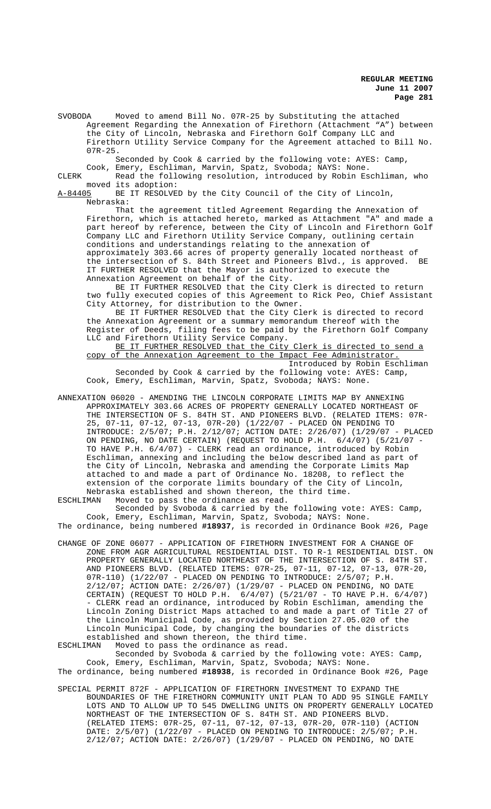SVOBODA Moved to amend Bill No. 07R-25 by Substituting the attached Agreement Regarding the Annexation of Firethorn (Attachment "A") between the City of Lincoln, Nebraska and Firethorn Golf Company LLC and Firethorn Utility Service Company for the Agreement attached to Bill No. 07R-25.

Seconded by Cook & carried by the following vote: AYES: Camp,

Cook, Emery, Eschliman, Marvin, Spatz, Svoboda; NAYS: None. CLERK Read the following resolution, introduced by Robin Eschliman, who

moved its adoption:<br>A-84405 BE IT RESOLVE BE IT RESOLVED by the City Council of the City of Lincoln, Nebraska:

That the agreement titled Agreement Regarding the Annexation of Firethorn, which is attached hereto, marked as Attachment "A" and made a part hereof by reference, between the City of Lincoln and Firethorn Golf Company LLC and Firethorn Utility Service Company, outlining certain conditions and understandings relating to the annexation of approximately 303.66 acres of property generally located northeast of the intersection of S. 84th Street and Pioneers Blvd., is approved. BE IT FURTHER RESOLVED that the Mayor is authorized to execute the Annexation Agreement on behalf of the City.

BE IT FURTHER RESOLVED that the City Clerk is directed to return two fully executed copies of this Agreement to Rick Peo, Chief Assistant City Attorney, for distribution to the Owner.

BE IT FURTHER RESOLVED that the City Clerk is directed to record the Annexation Agreement or a summary memorandum thereof with the Register of Deeds, filing fees to be paid by the Firethorn Golf Company LLC and Firethorn Utility Service Company.

BE IT FURTHER RESOLVED that the City Clerk is directed to send a copy of the Annexation Agreement to the Impact Fee Administrator. Introduced by Robin Eschliman

Seconded by Cook & carried by the following vote: AYES: Camp, Cook, Emery, Eschliman, Marvin, Spatz, Svoboda; NAYS: None.

ANNEXATION 06020 - AMENDING THE LINCOLN CORPORATE LIMITS MAP BY ANNEXING APPROXIMATELY 303.66 ACRES OF PROPERTY GENERALLY LOCATED NORTHEAST OF THE INTERSECTION OF S. 84TH ST. AND PIONEERS BLVD. (RELATED ITEMS: 07R-25, 07-11, 07-12, 07-13, 07R-20) (1/22/07 - PLACED ON PENDING TO INTRODUCE: 2/5/07; P.H. 2/12/07; ACTION DATE: 2/26/07) (1/29/07 - PLACED ON PENDING, NO DATE CERTAIN) (REQUEST TO HOLD P.H. 6/4/07) (5/21/07 - TO HAVE P.H. 6/4/07) - CLERK read an ordinance, introduced by Robin Eschliman, annexing and including the below described land as part of the City of Lincoln, Nebraska and amending the Corporate Limits Map attached to and made a part of Ordinance No. 18208, to reflect the extension of the corporate limits boundary of the City of Lincoln, Nebraska established and shown thereon, the third time.

ESCHLIMAN Moved to pass the ordinance as read.

Seconded by Svoboda & carried by the following vote: AYES: Camp, Cook, Emery, Eschliman, Marvin, Spatz, Svoboda; NAYS: None. The ordinance, being numbered **#18937**, is recorded in Ordinance Book #26, Page

CHANGE OF ZONE 06077 - APPLICATION OF FIRETHORN INVESTMENT FOR A CHANGE OF ZONE FROM AGR AGRICULTURAL RESIDENTIAL DIST. TO R-1 RESIDENTIAL DIST. ON PROPERTY GENERALLY LOCATED NORTHEAST OF THE INTERSECTION OF S. 84TH ST. AND PIONEERS BLVD. (RELATED ITEMS: 07R-25, 07-11, 07-12, 07-13, 07R-20, 07R-110) (1/22/07 - PLACED ON PENDING TO INTRODUCE: 2/5/07; P.H. 2/12/07; ACTION DATE: 2/26/07) (1/29/07 - PLACED ON PENDING, NO DATE CERTAIN) (REQUEST TO HOLD P.H. 6/4/07) (5/21/07 - TO HAVE P.H. 6/4/07) - CLERK read an ordinance, introduced by Robin Eschliman, amending the Lincoln Zoning District Maps attached to and made a part of Title 27 of the Lincoln Municipal Code, as provided by Section 27.05.020 of the Lincoln Municipal Code, by changing the boundaries of the districts established and shown thereon, the third time.

ESCHLIMAN Moved to pass the ordinance as read. Seconded by Svoboda & carried by the following vote: AYES: Camp, Cook, Emery, Eschliman, Marvin, Spatz, Svoboda; NAYS: None. The ordinance, being numbered **#18938**, is recorded in Ordinance Book #26, Page

SPECIAL PERMIT 872F - APPLICATION OF FIRETHORN INVESTMENT TO EXPAND THE BOUNDARIES OF THE FIRETHORN COMMUNITY UNIT PLAN TO ADD 95 SINGLE FAMILY LOTS AND TO ALLOW UP TO 545 DWELLING UNITS ON PROPERTY GENERALLY LOCATED NORTHEAST OF THE INTERSECTION OF S. 84TH ST. AND PIONEERS BLVD. (RELATED ITEMS: 07R-25, 07-11, 07-12, 07-13, 07R-20, 07R-110) (ACTION DATE: 2/5/07) (1/22/07 - PLACED ON PENDING TO INTRODUCE: 2/5/07; P.H. 2/12/07; ACTION DATE: 2/26/07) (1/29/07 - PLACED ON PENDING, NO DATE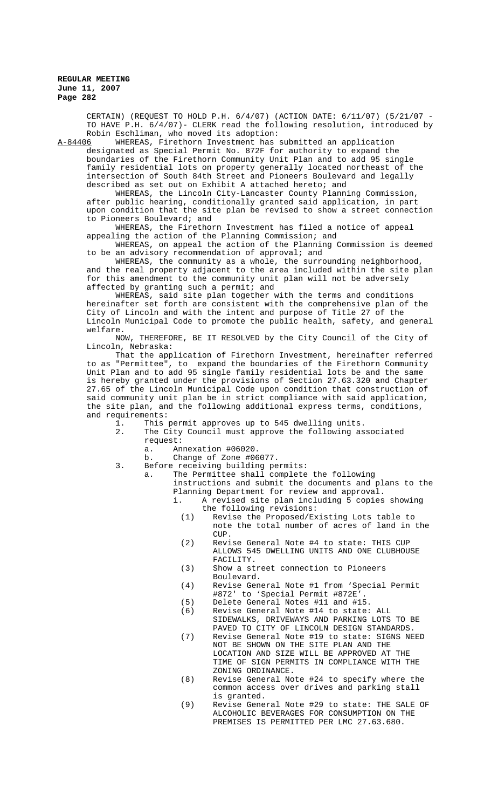CERTAIN) (REQUEST TO HOLD P.H. 6/4/07) (ACTION DATE: 6/11/07) (5/21/07 - TO HAVE P.H. 6/4/07)- CLERK read the following resolution, introduced by Robin Eschliman, who moved its adoption:<br>A-84406 WHEREAS, Firethorn Investment has

WHEREAS, Firethorn Investment has submitted an application designated as Special Permit No. 872F for authority to expand the boundaries of the Firethorn Community Unit Plan and to add 95 single family residential lots on property generally located northeast of the intersection of South 84th Street and Pioneers Boulevard and legally described as set out on Exhibit A attached hereto; and

WHEREAS, the Lincoln City-Lancaster County Planning Commission, after public hearing, conditionally granted said application, in part upon condition that the site plan be revised to show a street connection to Pioneers Boulevard; and

WHEREAS, the Firethorn Investment has filed a notice of appeal appealing the action of the Planning Commission; and

WHEREAS, on appeal the action of the Planning Commission is deemed to be an advisory recommendation of approval; and

WHEREAS, the community as a whole, the surrounding neighborhood, and the real property adjacent to the area included within the site plan for this amendment to the community unit plan will not be adversely affected by granting such a permit; and

WHEREAS, said site plan together with the terms and conditions hereinafter set forth are consistent with the comprehensive plan of the City of Lincoln and with the intent and purpose of Title 27 of the Lincoln Municipal Code to promote the public health, safety, and general welfare.

NOW, THEREFORE, BE IT RESOLVED by the City Council of the City of Lincoln, Nebraska:

That the application of Firethorn Investment, hereinafter referred to as "Permittee", to expand the boundaries of the Firethorn Community Unit Plan and to add 95 single family residential lots be and the same is hereby granted under the provisions of Section 27.63.320 and Chapter 27.65 of the Lincoln Municipal Code upon condition that construction of said community unit plan be in strict compliance with said application, the site plan, and the following additional express terms, conditions, and requirements:

- 1. This permit approves up to 545 dwelling units.<br>2. The City Council must approve the following as
	- The City Council must approve the following associated request:<br>a. An
		- a. Annexation #06020.<br>b Change of Zone #06
		- Change of Zone #06077.
- 3. Before receiving building permits:
	- a. The Permittee shall complete the following instructions and submit the documents and plans to the Planning Department for review and approval.
		- i. A revised site plan including 5 copies showing the following revisions:
			- (1) Revise the Proposed/Existing Lots table to note the total number of acres of land in the CUP.
			- (2) Revise General Note #4 to state: THIS CUP ALLOWS 545 DWELLING UNITS AND ONE CLUBHOUSE FACILITY.
			- (3) Show a street connection to Pioneers Boulevard.
			- (4) Revise General Note #1 from 'Special Permit #872' to 'Special Permit #872E'.
			- (5) Delete General Notes #11 and #15.
			- (6) Revise General Note #14 to state: ALL SIDEWALKS, DRIVEWAYS AND PARKING LOTS TO BE PAVED TO CITY OF LINCOLN DESIGN STANDARDS.
			- (7) Revise General Note #19 to state: SIGNS NEED NOT BE SHOWN ON THE SITE PLAN AND THE LOCATION AND SIZE WILL BE APPROVED AT THE TIME OF SIGN PERMITS IN COMPLIANCE WITH THE ZONING ORDINANCE.
			- (8) Revise General Note #24 to specify where the common access over drives and parking stall is granted.
			- (9) Revise General Note #29 to state: THE SALE OF ALCOHOLIC BEVERAGES FOR CONSUMPTION ON THE PREMISES IS PERMITTED PER LMC 27.63.680.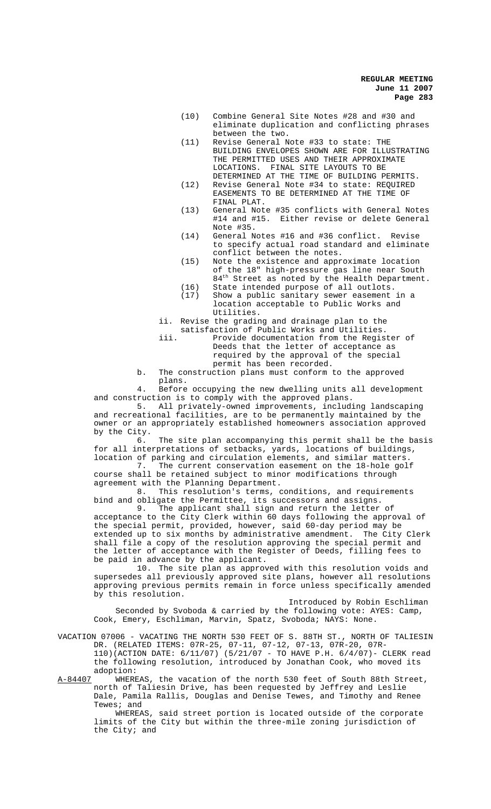- (10) Combine General Site Notes #28 and #30 and eliminate duplication and conflicting phrases between the two.
- (11) Revise General Note #33 to state: THE BUILDING ENVELOPES SHOWN ARE FOR ILLUSTRATING THE PERMITTED USES AND THEIR APPROXIMATE LOCATIONS. FINAL SITE LAYOUTS TO BE DETERMINED AT THE TIME OF BUILDING PERMITS.
- (12) Revise General Note #34 to state: REQUIRED EASEMENTS TO BE DETERMINED AT THE TIME OF FINAL PLAT.
- (13) General Note #35 conflicts with General Notes #14 and #15. Either revise or delete General Note #35.
- (14) General Notes #16 and #36 conflict. Revise to specify actual road standard and eliminate conflict between the notes.
- (15) Note the existence and approximate location of the 18" high-pressure gas line near South 84<sup>th</sup> Street as noted by the Health Department.
- (16) State intended purpose of all outlots.
- (17) Show a public sanitary sewer easement in a location acceptable to Public Works and Utilities.
- ii. Revise the grading and drainage plan to the
- satisfaction of Public Works and Utilities. iii. Provide documentation from the Register of Deeds that the letter of acceptance as required by the approval of the special permit has been recorded.
- b. The construction plans must conform to the approved plans.

4. Before occupying the new dwelling units all development and construction is to comply with the approved plans.

5. All privately-owned improvements, including landscaping and recreational facilities, are to be permanently maintained by the owner or an appropriately established homeowners association approved by the City.

6. The site plan accompanying this permit shall be the basis for all interpretations of setbacks, yards, locations of buildings, location of parking and circulation elements, and similar matters.

7. The current conservation easement on the 18-hole golf course shall be retained subject to minor modifications through agreement with the Planning Department.<br>8. This resolution's terms.

This resolution's terms, conditions, and requirements bind and obligate the Permittee, its successors and assigns.

9. The applicant shall sign and return the letter of acceptance to the City Clerk within 60 days following the approval of the special permit, provided, however, said 60-day period may be extended up to six months by administrative amendment. The City Clerk shall file a copy of the resolution approving the special permit and the letter of acceptance with the Register of Deeds, filling fees to be paid in advance by the applicant.

10. The site plan as approved with this resolution voids and supersedes all previously approved site plans, however all resolutions approving previous permits remain in force unless specifically amended by this resolution.

Introduced by Robin Eschliman Seconded by Svoboda & carried by the following vote: AYES: Camp, Cook, Emery, Eschliman, Marvin, Spatz, Svoboda; NAYS: None.

VACATION 07006 - VACATING THE NORTH 530 FEET OF S. 88TH ST., NORTH OF TALIESIN DR. (RELATED ITEMS: 07R-25, 07-11, 07-12, 07-13, 07R-20, 07R-

110)(ACTION DATE: 6/11/07) (5/21/07 - TO HAVE P.H. 6/4/07)- CLERK read the following resolution, introduced by Jonathan Cook, who moved its adoption:

A-84407 WHEREAS, the vacation of the north 530 feet of South 88th Street, north of Taliesin Drive, has been requested by Jeffrey and Leslie Dale, Pamila Rallis, Douglas and Denise Tewes, and Timothy and Renee Tewes; and

WHEREAS, said street portion is located outside of the corporate limits of the City but within the three-mile zoning jurisdiction of the City; and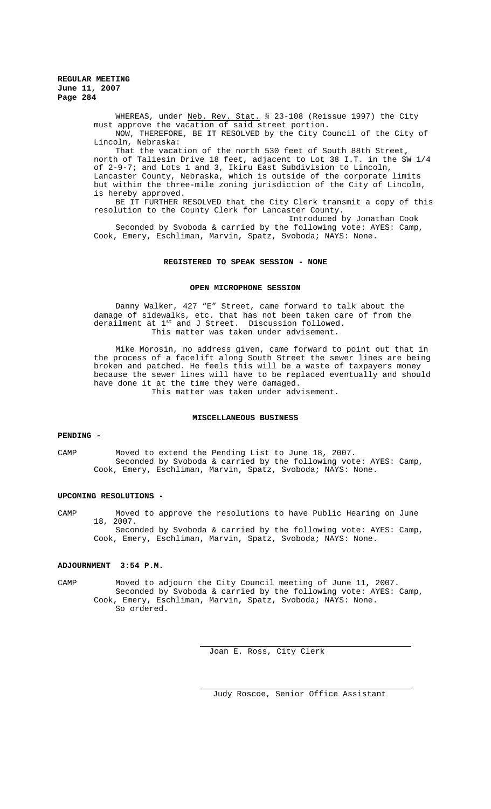WHEREAS, under Neb. Rev. Stat. § 23-108 (Reissue 1997) the City must approve the vacation of said street portion. NOW, THEREFORE, BE IT RESOLVED by the City Council of the City of

Lincoln, Nebraska: That the vacation of the north 530 feet of South 88th Street, north of Taliesin Drive 18 feet, adjacent to Lot 38 I.T. in the SW 1/4 of 2-9-7; and Lots 1 and 3, Ikiru East Subdivision to Lincoln, Lancaster County, Nebraska, which is outside of the corporate limits but within the three-mile zoning jurisdiction of the City of Lincoln, is hereby approved.

BE IT FURTHER RESOLVED that the City Clerk transmit a copy of this resolution to the County Clerk for Lancaster County.

Introduced by Jonathan Cook Seconded by Svoboda & carried by the following vote: AYES: Camp, Cook, Emery, Eschliman, Marvin, Spatz, Svoboda; NAYS: None.

### **REGISTERED TO SPEAK SESSION - NONE**

### **OPEN MICROPHONE SESSION**

Danny Walker, 427 "E" Street, came forward to talk about the damage of sidewalks, etc. that has not been taken care of from the derailment at 1<sup>st</sup> and J Street. Discussion followed. This matter was taken under advisement.

Mike Morosin, no address given, came forward to point out that in the process of a facelift along South Street the sewer lines are being broken and patched. He feels this will be a waste of taxpayers money because the sewer lines will have to be replaced eventually and should have done it at the time they were damaged. This matter was taken under advisement.

# **MISCELLANEOUS BUSINESS**

#### **PENDING -**

CAMP Moved to extend the Pending List to June 18, 2007. Seconded by Svoboda & carried by the following vote: AYES: Camp, Cook, Emery, Eschliman, Marvin, Spatz, Svoboda; NAYS: None.

## **UPCOMING RESOLUTIONS -**

CAMP Moved to approve the resolutions to have Public Hearing on June 18, 2007. Seconded by Svoboda & carried by the following vote: AYES: Camp, Cook, Emery, Eschliman, Marvin, Spatz, Svoboda; NAYS: None.

# **ADJOURNMENT 3:54 P.M.**

CAMP Moved to adjourn the City Council meeting of June 11, 2007. Seconded by Svoboda & carried by the following vote: AYES: Camp, Cook, Emery, Eschliman, Marvin, Spatz, Svoboda; NAYS: None. So ordered.

Joan E. Ross, City Clerk

Judy Roscoe, Senior Office Assistant